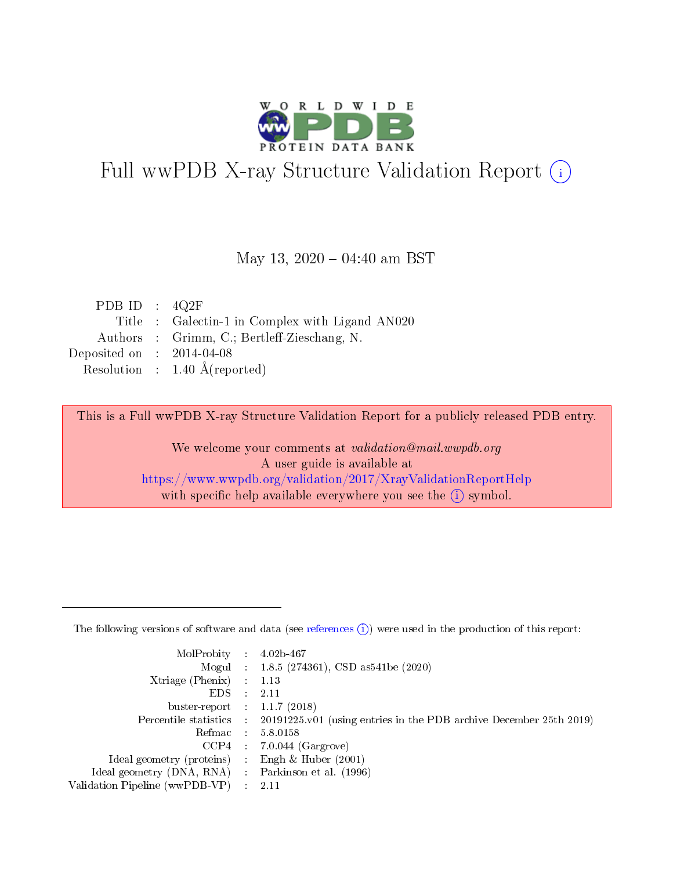

# Full wwPDB X-ray Structure Validation Report (i)

#### May 13,  $2020 - 04:40$  am BST

| PDB ID : $4Q2F$             |                                                 |
|-----------------------------|-------------------------------------------------|
|                             | Title : Galectin-1 in Complex with Ligand AN020 |
|                             | Authors : Grimm, C.; Bertleff-Zieschang, N.     |
| Deposited on : $2014-04-08$ |                                                 |
|                             | Resolution : $1.40 \text{ Å}$ (reported)        |

This is a Full wwPDB X-ray Structure Validation Report for a publicly released PDB entry.

We welcome your comments at validation@mail.wwpdb.org A user guide is available at <https://www.wwpdb.org/validation/2017/XrayValidationReportHelp> with specific help available everywhere you see the  $(i)$  symbol.

The following versions of software and data (see [references](https://www.wwpdb.org/validation/2017/XrayValidationReportHelp#references)  $(1)$ ) were used in the production of this report:

| MolProbity :                   |               | $4.02b - 467$                                                               |
|--------------------------------|---------------|-----------------------------------------------------------------------------|
|                                |               | Mogul : $1.8.5$ (274361), CSD as 541be (2020)                               |
| $X$ triage (Phenix) :          |               | 1.13                                                                        |
| EDS.                           |               | 2.11                                                                        |
| buster-report : $1.1.7$ (2018) |               |                                                                             |
| Percentile statistics :        |               | $20191225 \text{v}01$ (using entries in the PDB archive December 25th 2019) |
| Refmac :                       |               | 5.8.0158                                                                    |
| $CCP4$ :                       |               | $7.0.044$ (Gargrove)                                                        |
| Ideal geometry (proteins) :    |               | Engh $\&$ Huber (2001)                                                      |
| Ideal geometry (DNA, RNA) :    |               | Parkinson et al. (1996)                                                     |
| Validation Pipeline (wwPDB-VP) | $\mathcal{L}$ | 2.11                                                                        |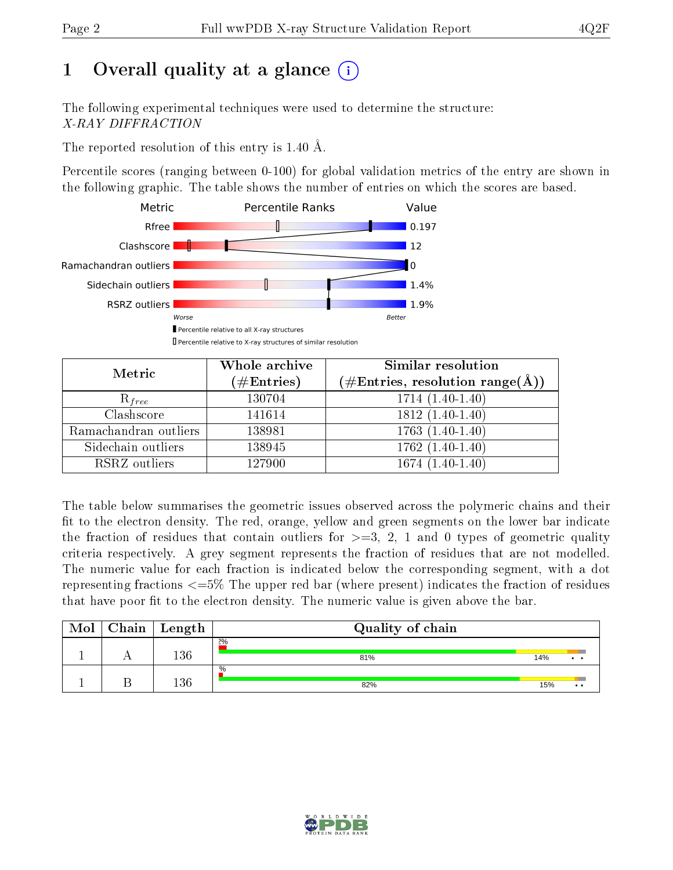# 1 [O](https://www.wwpdb.org/validation/2017/XrayValidationReportHelp#overall_quality)verall quality at a glance  $(i)$

The following experimental techniques were used to determine the structure: X-RAY DIFFRACTION

The reported resolution of this entry is 1.40 Å.

Percentile scores (ranging between 0-100) for global validation metrics of the entry are shown in the following graphic. The table shows the number of entries on which the scores are based.



| Metric                | Whole archive<br>$(\#\text{Entries})$ | Similar resolution<br>$(\# \text{Entries}, \text{resolution range}(\text{\AA}))$ |
|-----------------------|---------------------------------------|----------------------------------------------------------------------------------|
| $R_{free}$            | 130704                                | $1714(1.40-1.40)$                                                                |
| Clashscore            | 141614                                | $1812(1.40-1.40)$                                                                |
| Ramachandran outliers | 138981                                | $1763(1.40-1.40)$                                                                |
| Sidechain outliers    | 138945                                | $1762(1.40-1.40)$                                                                |
| RSRZ outliers         | 127900                                | $1674(1.40-1.40)$                                                                |

The table below summarises the geometric issues observed across the polymeric chains and their fit to the electron density. The red, orange, yellow and green segments on the lower bar indicate the fraction of residues that contain outliers for  $>=3, 2, 1$  and 0 types of geometric quality criteria respectively. A grey segment represents the fraction of residues that are not modelled. The numeric value for each fraction is indicated below the corresponding segment, with a dot representing fractions <=5% The upper red bar (where present) indicates the fraction of residues that have poor fit to the electron density. The numeric value is given above the bar.

| Mol | Chain | Length | Quality of chain     |     |                  |
|-----|-------|--------|----------------------|-----|------------------|
|     |       | 136    | 2%<br>81%            | 14% | $\bullet$ .      |
|     |       | 136    | $\frac{0}{0}$<br>82% | 15% | $\bullet\bullet$ |

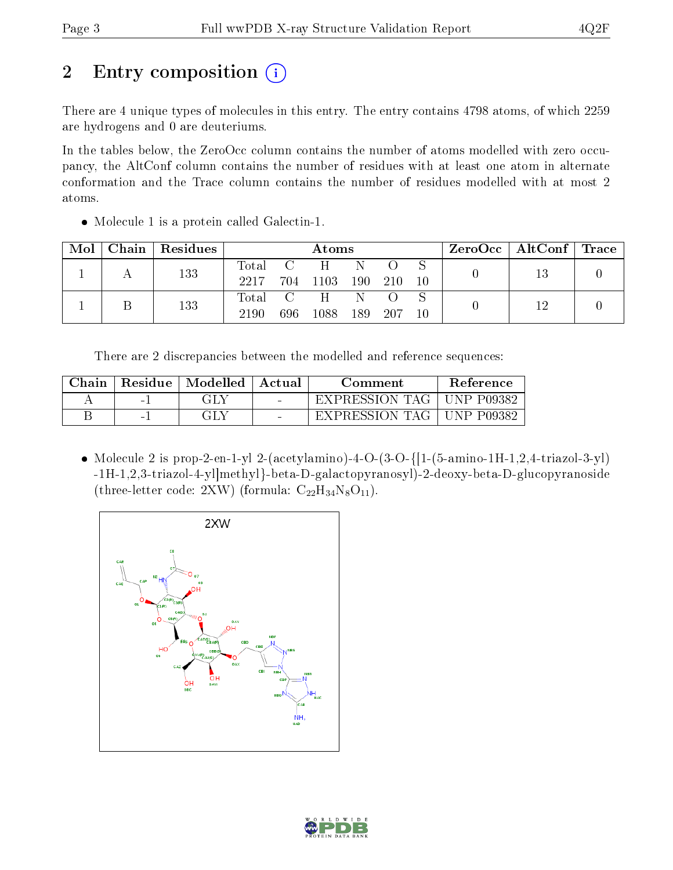# 2 Entry composition  $\left( \cdot \right)$

There are 4 unique types of molecules in this entry. The entry contains 4798 atoms, of which 2259 are hydrogens and 0 are deuteriums.

In the tables below, the ZeroOcc column contains the number of atoms modelled with zero occupancy, the AltConf column contains the number of residues with at least one atom in alternate conformation and the Trace column contains the number of residues modelled with at most 2 atoms.

• Molecule 1 is a protein called Galectin-1.

| Mol |  | $\mid$ Chain   Residues | Atoms   |  |          |       |       |       | $\rm ZeroOcc$   AltConf   Trace |  |  |
|-----|--|-------------------------|---------|--|----------|-------|-------|-------|---------------------------------|--|--|
|     |  | 133                     | Total C |  | H        | - N   |       |       |                                 |  |  |
|     |  |                         | 2217    |  | 704 1103 | - 190 | - 210 | $-10$ |                                 |  |  |
|     |  | 133                     | Total C |  | H        | -N    |       |       |                                 |  |  |
|     |  |                         | 2190    |  | 696 1088 | - 189 | - 207 | 10    |                                 |  |  |

There are 2 discrepancies between the modelled and reference sequences:

| Chain | Residue | Modelled | Actual | Comment        | <b>Reference</b>  |
|-------|---------|----------|--------|----------------|-------------------|
|       | $-1$    | GLY      | $\sim$ | EXPRESSION TAG | <b>UNP P09382</b> |
|       | $-1$    | ЭLY      | $\sim$ | EXPRESSION TAG | <b>UNP P09382</b> |

• Molecule 2 is prop-2-en-1-yl 2-(acetylamino)-4-O-(3-O-{ $[1-(5- \text{amino-1H-1},2,4-\text{triazol-3-y}])$ -1H-1,2,3-triazol-4-yl]methyl}-beta-D-galactopyranosyl)-2-deoxy-beta-D-glucopyranoside (three-letter code: 2XW) (formula:  $C_{22}H_{34}N_8O_{11}$ ).



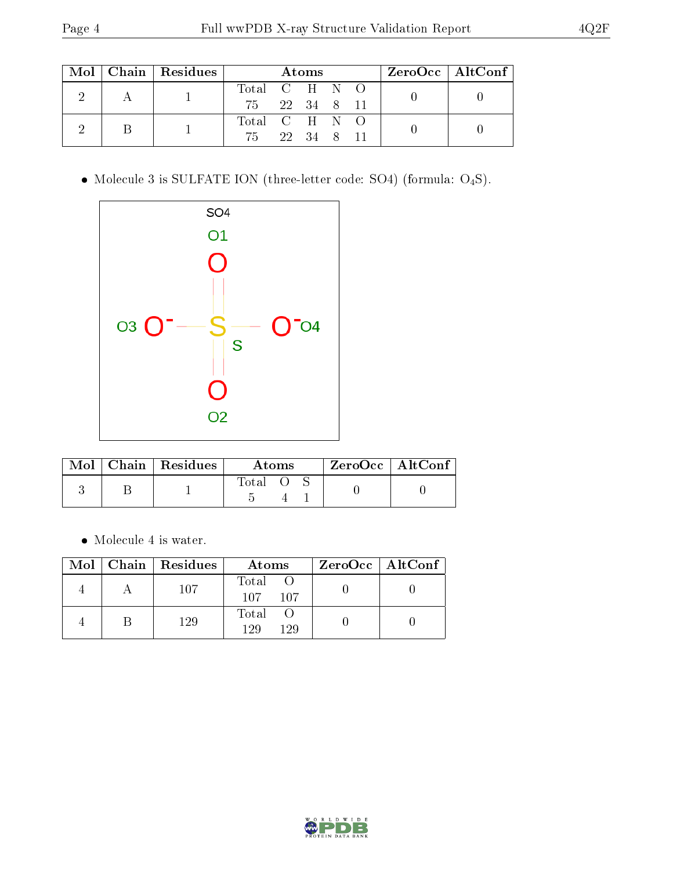|  |  | $Mol$   Chain   Residues |               | Atoms |  | $\rm ZeroOcc$   Alt $\rm Conf$ |  |
|--|--|--------------------------|---------------|-------|--|--------------------------------|--|
|  |  |                          | Total C H N O |       |  |                                |  |
|  |  | 75 22 34 8 11            |               |       |  |                                |  |
|  |  |                          | Total C H N O |       |  |                                |  |
|  |  |                          | 75 22 34 8 11 |       |  |                                |  |

 $\bullet$  Molecule 3 is SULFATE ION (three-letter code: SO4) (formula:  $\mathrm{O}_4\mathrm{S}) .$ 



|  | $\text{Mol}$   Chain   Residues | Atoms |  |  | $ZeroOcc$   AltConf |  |
|--|---------------------------------|-------|--|--|---------------------|--|
|  |                                 | Total |  |  |                     |  |

 $\bullet\,$  Molecule 4 is water.

| Mol | Chain   Residues | Atoms                  | $ZeroOcc$   AltConf |
|-----|------------------|------------------------|---------------------|
|     | 107              | Total<br>107.<br>107   |                     |
|     | 129              | Total<br>1 9 Q<br>1 29 |                     |

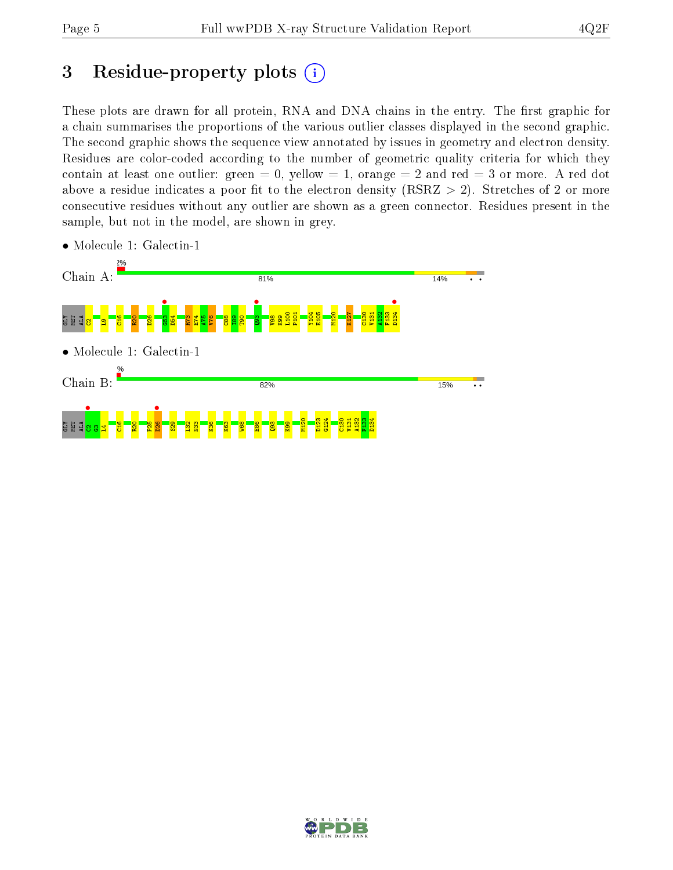# 3 Residue-property plots  $(i)$

These plots are drawn for all protein, RNA and DNA chains in the entry. The first graphic for a chain summarises the proportions of the various outlier classes displayed in the second graphic. The second graphic shows the sequence view annotated by issues in geometry and electron density. Residues are color-coded according to the number of geometric quality criteria for which they contain at least one outlier: green  $= 0$ , yellow  $= 1$ , orange  $= 2$  and red  $= 3$  or more. A red dot above a residue indicates a poor fit to the electron density (RSRZ  $> 2$ ). Stretches of 2 or more consecutive residues without any outlier are shown as a green connector. Residues present in the sample, but not in the model, are shown in grey.



• Molecule 1: Galectin-1

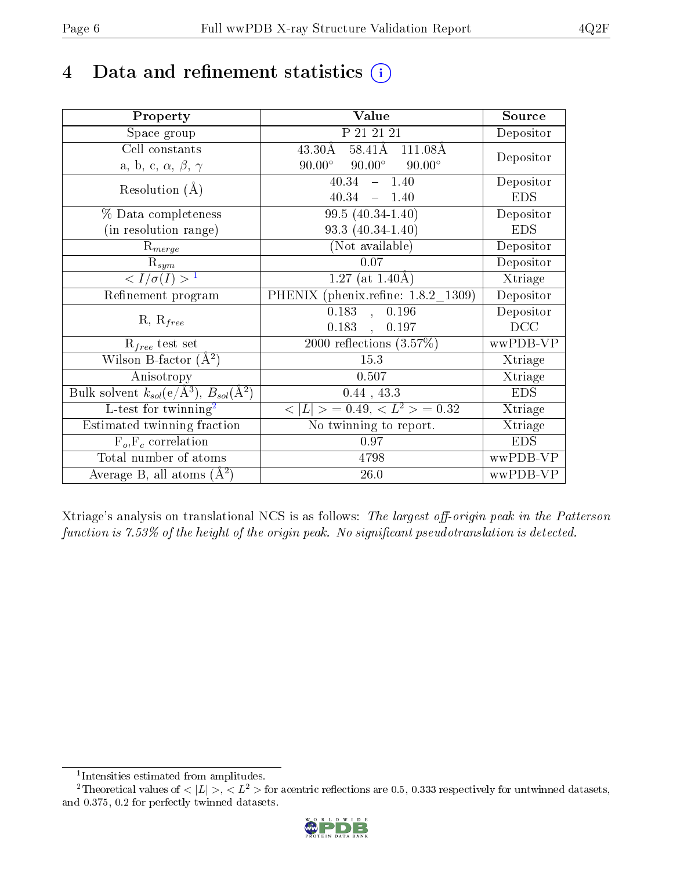## 4 Data and refinement statistics  $(i)$

| Property                                                             | Value                                             | Source                  |
|----------------------------------------------------------------------|---------------------------------------------------|-------------------------|
| Space group                                                          | P 21 21 21                                        | Depositor               |
| Cell constants                                                       | $58.41\text{\AA}$<br>$43.30\text{\AA}$<br>111.08Å |                         |
| a, b, c, $\alpha$ , $\beta$ , $\gamma$                               | $90.00^\circ$<br>$90.00^\circ$<br>$90.00^\circ$   | Depositor               |
| Resolution $(A)$                                                     | 40.34<br>$-1.40$                                  | Depositor               |
|                                                                      | 40.34<br>$-1.40$                                  | <b>EDS</b>              |
| % Data completeness                                                  | 99.5 $(40.34 - 1.40)$                             | Depositor               |
| (in resolution range)                                                | $93.3(40.34-1.40)$                                | <b>EDS</b>              |
| $R_{merge}$                                                          | (Not available)                                   | Depositor               |
| $\mathrm{\bar{R}_{\it sym}}$                                         | 0.07                                              | Depositor               |
| $\langle I/\sigma(I) \rangle^{-1}$                                   | $1.27$ (at 1.40Å)                                 | Xtriage                 |
| Refinement program                                                   | PHENIX (phenix.refine: 1.8.2 1309)                | $\overline{D}$ epositor |
| $R, R_{free}$                                                        | $\overline{0.183}$ ,<br>0.196                     | Depositor               |
|                                                                      | $0.183$ ,<br>0.197                                | DCC                     |
| $R_{free}$ test set                                                  | $\overline{2000}$ reflections $(3.57%)$           | wwPDB-VP                |
| Wilson B-factor $(\AA^2)$                                            | 15.3                                              | Xtriage                 |
| Anisotropy                                                           | 0.507                                             | Xtriage                 |
| Bulk solvent $k_{sol}(e/\mathring{A}^3)$ , $B_{sol}(\mathring{A}^2)$ | 0.44, 43.3                                        | <b>EDS</b>              |
| $L$ -test for twinning <sup>2</sup>                                  | $< L >$ = 0.49, $< L^2 >$ = 0.32                  | Xtriage                 |
| Estimated twinning fraction                                          | No twinning to report.                            | Xtriage                 |
| $F_o, F_c$ correlation                                               | 0.97                                              | <b>EDS</b>              |
| Total number of atoms                                                | 4798                                              | wwPDB-VP                |
| Average B, all atoms $(A^2)$                                         | 26.0                                              | wwPDB-VP                |

Xtriage's analysis on translational NCS is as follows: The largest off-origin peak in the Patterson function is  $7.53\%$  of the height of the origin peak. No significant pseudotranslation is detected.

<sup>&</sup>lt;sup>2</sup>Theoretical values of  $\langle |L| \rangle$ ,  $\langle L^2 \rangle$  for acentric reflections are 0.5, 0.333 respectively for untwinned datasets, and 0.375, 0.2 for perfectly twinned datasets.



<span id="page-5-1"></span><span id="page-5-0"></span><sup>1</sup> Intensities estimated from amplitudes.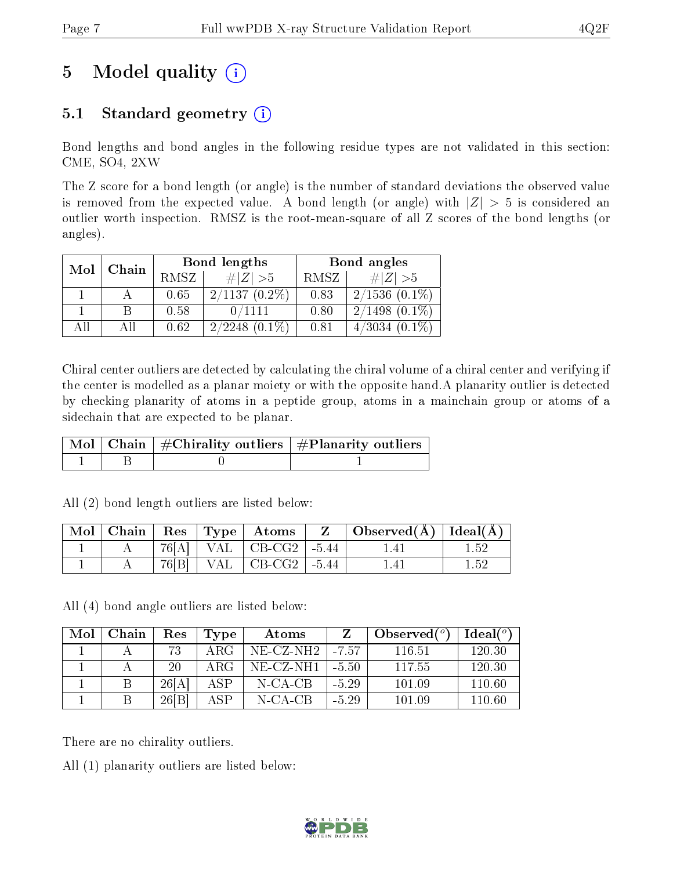# 5 Model quality  $(i)$

## 5.1 Standard geometry  $(i)$

Bond lengths and bond angles in the following residue types are not validated in this section: CME, SO4, 2XW

The Z score for a bond length (or angle) is the number of standard deviations the observed value is removed from the expected value. A bond length (or angle) with  $|Z| > 5$  is considered an outlier worth inspection. RMSZ is the root-mean-square of all Z scores of the bond lengths (or angles).

| Mol<br>Chain |  |      | Bond lengths        | Bond angles |                     |  |
|--------------|--|------|---------------------|-------------|---------------------|--|
|              |  | RMSZ | $\# Z  > 5$         | RMSZ        | # $ Z  > 5$         |  |
|              |  | 0.65 | $2/1137(0.2\%)$     | 0.83        | $2/1536(0.1\%)$     |  |
|              |  | 0.58 | 0/1111              | 0.80        | $2/1498$ $(0.1\%)$  |  |
| All          |  | 0.62 | $(0.1\%)$<br>2/2248 | 0.81        | $(0.1\%)$<br>4/3034 |  |

Chiral center outliers are detected by calculating the chiral volume of a chiral center and verifying if the center is modelled as a planar moiety or with the opposite hand.A planarity outlier is detected by checking planarity of atoms in a peptide group, atoms in a mainchain group or atoms of a sidechain that are expected to be planar.

|  | $\mid$ Mol $\mid$ Chain $\mid$ #Chirality outliers $\mid$ #Planarity outliers $\mid$ |
|--|--------------------------------------------------------------------------------------|
|  |                                                                                      |

All (2) bond length outliers are listed below:

|  |  | $\vert$ Mol $\vert$ Chain $\vert$ Res $\vert$ Type $\vert$ Atoms | Z | $\mid$ Observed( $\AA$ ) $\mid$ Ideal( $\AA$ ) $\mid$ |      |
|--|--|------------------------------------------------------------------|---|-------------------------------------------------------|------|
|  |  | $76[A]$   VAL   CB-CG2   -5.44                                   |   |                                                       |      |
|  |  | $76[B]$   VAL   CB-CG2   -5.44                                   |   |                                                       | L 52 |

All (4) bond angle outliers are listed below:

| Mol | Chain | $\operatorname{Res}% \left( \mathcal{N}\right) \equiv\operatorname{Res}(\mathcal{N}_{0})\cap\mathcal{N}_{1}$ | Type | Atoms        |         | Observed $(°)$ | Ideal(°) |
|-----|-------|--------------------------------------------------------------------------------------------------------------|------|--------------|---------|----------------|----------|
|     |       | 73                                                                                                           | ARG  | $NE- CZ-NH2$ | $-7.57$ | 116.51         | 120.30   |
|     |       | 20                                                                                                           | ARG  | NE-CZ-NH1    | -5.50   | 117.55         | 120.30   |
|     |       | 26[A]                                                                                                        | ASP  | N-CA-CB      | $-5.29$ | 101.09         | 110.60   |
|     |       | 26 B                                                                                                         | ASP  | $N$ -CA-CB   | $-5.29$ | 101.09         | 110.60   |

There are no chirality outliers.

All (1) planarity outliers are listed below:

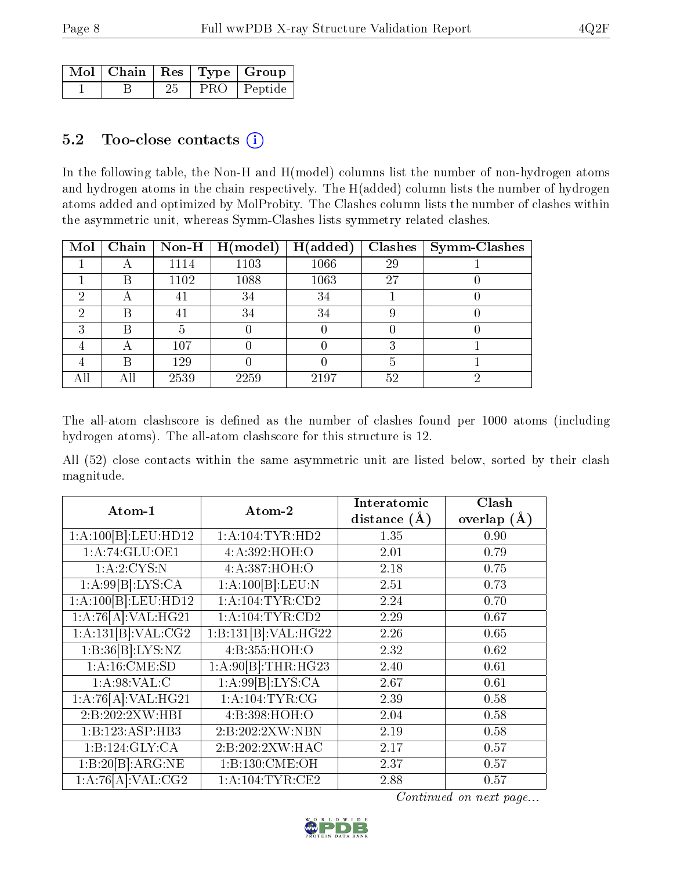|  |    | $\sqrt{\text{Mol}} \mid \text{Chain} \mid \text{Res} \mid \text{Type} \mid \text{Group} \mid$ |
|--|----|-----------------------------------------------------------------------------------------------|
|  | 25 | PRO   Peptide                                                                                 |

#### 5.2 Too-close contacts  $(i)$

In the following table, the Non-H and H(model) columns list the number of non-hydrogen atoms and hydrogen atoms in the chain respectively. The H(added) column lists the number of hydrogen atoms added and optimized by MolProbity. The Clashes column lists the number of clashes within the asymmetric unit, whereas Symm-Clashes lists symmetry related clashes.

| Mol |   |      | Chain   Non-H   $H (model)$ | H(added) |    | $Clashes$   Symm-Clashes |
|-----|---|------|-----------------------------|----------|----|--------------------------|
|     | A | 1114 | 1103                        | 1066     | 29 |                          |
|     | R | 1102 | 1088                        | 1063     | 27 |                          |
| ച   | A |      | 34                          | 34       |    |                          |
| റ   | В |      | 34                          | 34       |    |                          |
| ച   | В |      |                             |          |    |                          |
|     | А | 107  |                             |          |    |                          |
|     | R | 129  |                             |          |    |                          |
|     |   | 2539 | 2259                        | 2197     | 52 |                          |

The all-atom clashscore is defined as the number of clashes found per 1000 atoms (including hydrogen atoms). The all-atom clashscore for this structure is 12.

All (52) close contacts within the same asymmetric unit are listed below, sorted by their clash magnitude.

| Atom-1                           | Atom-2               | Interatomic      | Clash           |
|----------------------------------|----------------------|------------------|-----------------|
|                                  |                      | distance $(\AA)$ | overlap $(\AA)$ |
| 1:A:100[B]:LEU:HD12              | 1: A: 104: TYR: HD2  | 1.35             | 0.90            |
| 1: A:74: GLU:OE1                 | 4:A:392:HOH:O        | 2.01             | 0.79            |
| 1: A:2:CYS:N                     | 4:A:387:HOH:O        | 2.18             | 0.75            |
| 1:A:99[B]:LYS:CA                 | 1:A:100[B]:LEU:N     | 2.51             | 0.73            |
| $1:A:\overline{100 B]:LEU:HD12}$ | 1: A: 104: TYR: CD2  | 2.24             | 0.70            |
| 1:A:76[A]:VAL:HG21               | 1:A:104:TYR:CD2      | 2.29             | 0.67            |
| $1:\overline{A:131[B]:VAL:CG2}$  | 1:B:131[B]:VAL:H G22 | 2.26             | 0.65            |
| 1:B:36[B]:LYS:NZ                 | 4:B:355:HOH:O        | 2.32             | 0.62            |
| 1:A:16:CME:SD                    | 1:A:90[B]:THR:HG23   | 2.40             | 0.61            |
| 1: A:98: VAL:C                   | 1: A:99[B]: LYS: CA  | 2.67             | 0.61            |
| 1:A:76[A]:VAL:HG21               | 1: A:104:TYR:CG      | 2.39             | 0.58            |
| 2:B:202:2XW:HBI                  | 4:B:398:HOH:O        | 2.04             | 0.58            |
| 1:B:123:ASP:HB3                  | 2:B:202:2XW:NBN      | 2.19             | 0.58            |
| 1:B:124:GLY:CA                   | 2:B:202:2XW:HAC      | 2.17             | 0.57            |
| 1:B:20[B]:ARG:NE                 | 1:B:130:CME:OH       | 2.37             | 0.57            |
| 1:A:76[A]:VAL:CG2                | 1: A: 104: TYR: CE2  | 2.88             | 0.57            |

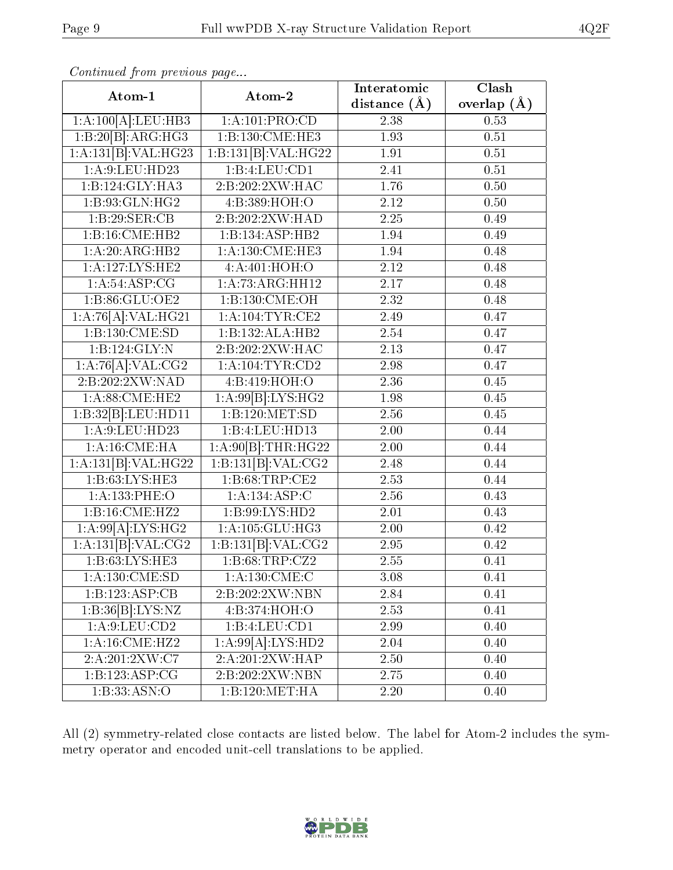| Atom-1                        | Atom-2                               | Interatomic      | Clash           |
|-------------------------------|--------------------------------------|------------------|-----------------|
|                               |                                      | distance $(\AA)$ | overlap $(\AA)$ |
| 1:A:100[A]:LEU:HB3            | 1: A: 101: PRO:CD                    | 2.38             | 0.53            |
| 1:B:20[B]:ARG:HG3             | 1:B:130:CME:HE3                      | 1.93             | 0.51            |
| 1:A:131[B]:VAL:H G23          | 1:B:131[B]:VAL:HG22                  | 1.91             | 0.51            |
| $1:$ A:9:LEU:HD23             | 1:B:4:LEU:CD1                        | 2.41             | 0.51            |
| 1:B:124:GLY:HA3               | 2:B:202:2XW:HAC                      | 1.76             | 0.50            |
| 1:B:93:GLN:HG2                | 4:B:389:HOH:O                        | 2.12             | 0.50            |
| 1:B:29:SER:CB                 | 2:B:202:2XW:HAD                      | 2.25             | 0.49            |
| 1:B:16:CME:HB2                | 1:B:134:ASP:HB2                      | 1.94             | 0.49            |
| 1:A:20:ARG:HB2                | 1: A: 130: CME: HE3                  | 1.94             | 0.48            |
| 1: A: 127: LYS: HE2           | 4:A:401:HOH:O                        | 2.12             | 0.48            |
| 1: A:54: ASP:CG               | 1:A:73:ARG:HH12                      | 2.17             | 0.48            |
| 1:B:86:GLU:OE2                | $1:B:130:\overline{\mathrm{CME:OH}}$ | 2.32             | 0.48            |
| 1:A:76[A]:VAL:HG21            | 1: A: 104: TYR: CE2                  | 2.49             | 0.47            |
| 1:B:130:CME:SD                | 1:B:132:ALA:HB2                      | 2.54             | 0.47            |
| 1:B:124:GLY:N                 | 2:B:202:2XW:HAC                      | 2.13             | 0.47            |
| 1:A:76[A]:VAL:CG2             | 1: A: 104: TYR: CD2                  | 2.98             | 0.47            |
| 2:B:202:2XW:NAD               | 4:B:419:HOH:O                        | 2.36             | 0.45            |
| 1: A:88: CME: HE2             | 1:A:99[B]:LYS:HG2                    | 1.98             | 0.45            |
| 1:B:32[B]:LEU:HD11            | 1:B:120:MET:SD                       | 2.56             | 0.45            |
| $1:$ A:9:LEU:HD23             | 1:B:4:LEU:HD13                       | 2.00             | 0.44            |
| 1:A:16:CME:HA                 | 1:A:90[B]:THR:HG22                   | 2.00             | 0.44            |
| 1:A:131[B]:VAL:H G22          | 1:B:131[B]:VAL:CG2                   | 2.48             | 0.44            |
| 1:B:63:LYS:HE3                | 1:B:68:TRP:CE2                       | 2.53             | 0.44            |
| 1:A:133:PHE:O                 | 1:A:134:ASP:C                        | 2.56             | 0.43            |
| 1:B:16:CME:HZ2                | 1:B:99:LYS:HD2                       | 2.01             | 0.43            |
| 1:A:99[A]:LYS:HG2             | 1:A:105:GLU:HG3                      | $2.00\,$         | 0.42            |
| 1:A:131[B]:VAL:CG2            | 1:B:131[B]:VAL:CG2                   | 2.95             | 0.42            |
| 1: B:63: LYS: HE3             | 1:B:68:TRP:CZ2                       | 2.55             | 0.41            |
| 1:A:130:CME:SD                | 1: A: 130: CME: C                    | 3.08             | 0.41            |
| 1:B:123:ASP:CB                | 2:B:202:2XW:NBN                      | 2.84             | 0.41            |
| $1:B:36[B]\overline{.LYS:NZ}$ | 4:B:374:HOH:O                        | 2.53             | 0.41            |
| 1:A:9:LEU:CD2                 | 1:B:4:LEU:CD1                        | 2.99             | $0.40\,$        |
| 1:A:16:CME:HZ2                | 1:A:99[A]:LYS:HD2                    | 2.04             | 0.40            |
| 2:A:201:2XW:C7                | 2:A:201:2XW:HAP                      | 2.50             | 0.40            |
| 1:B:123:ASP:CG                | 2:B:202:2XW:NBN                      | 2.75             | 0.40            |
| 1:B:33:ASN:O                  | 1:B:120:MET:HA                       | 2.20             | $0.40\,$        |

All (2) symmetry-related close contacts are listed below. The label for Atom-2 includes the symmetry operator and encoded unit-cell translations to be applied.

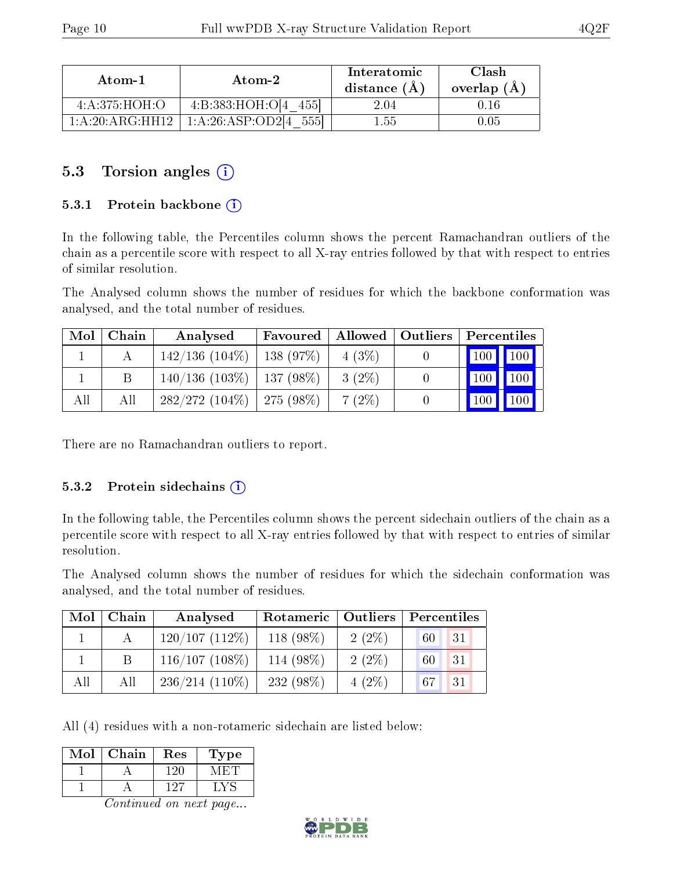| Atom-1          | Atom-2            | Interatomic<br>distance (A) | Clash<br>overlap (A) |
|-----------------|-------------------|-----------------------------|----------------------|
| 4: A:375: HOH:O | 4:B:383:HOH:O[4]  | 2.04                        |                      |
| 1:A:20:ARG:HH12 | 1:A:26:ASP:OD2[4] | 1.55                        |                      |

### 5.3 Torsion angles (i)

#### 5.3.1 Protein backbone (i)

In the following table, the Percentiles column shows the percent Ramachandran outliers of the chain as a percentile score with respect to all X-ray entries followed by that with respect to entries of similar resolution.

The Analysed column shows the number of residues for which the backbone conformation was analysed, and the total number of residues.

| Mol | Chain | Analysed                       | Favoured    | Allowed   Outliers | Percentiles |         |
|-----|-------|--------------------------------|-------------|--------------------|-------------|---------|
|     |       | $142/136(104\%)$               | $138(97\%)$ | $4(3\%)$           |             | 100 100 |
|     |       | $140/136$ (103\%)   137 (98\%) |             | $3(2\%)$           |             | 100     |
| All | All   | $282/272$ (104\%)   275 (98\%) |             | $7(2\%)$           | 100         | 100     |

There are no Ramachandran outliers to report.

#### 5.3.2 Protein sidechains  $(i)$

In the following table, the Percentiles column shows the percent sidechain outliers of the chain as a percentile score with respect to all X-ray entries followed by that with respect to entries of similar resolution.

The Analysed column shows the number of residues for which the sidechain conformation was analysed, and the total number of residues.

| Mol | Chain | Analysed          | Rotameric  | <b>Outliers</b> | Percentiles |
|-----|-------|-------------------|------------|-----------------|-------------|
|     |       | $120/107(112\%)$  | 118 (98%)  | $2(2\%)$        | 31<br>60    |
|     | B     | $116/107(108\%)$  | 114 (98\%) | $2(2\%)$        | 31<br>60    |
| All | All   | $236/214$ (110\%) | 232 (98%)  | $4(2\%)$        | 31<br>67    |

All (4) residues with a non-rotameric sidechain are listed below:

| ype |
|-----|
|     |
|     |

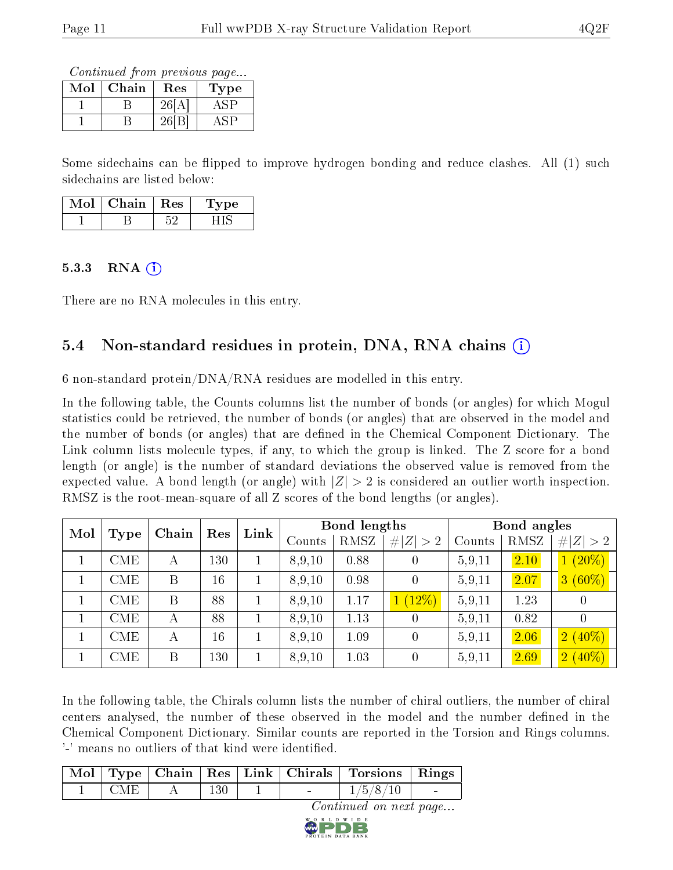Continued from previous page...

| Mol | Chain | Res | Type |
|-----|-------|-----|------|
|     |       |     |      |
|     |       |     |      |

Some sidechains can be flipped to improve hydrogen bonding and reduce clashes. All (1) such sidechains are listed below:

| Τoὶ | Chain | $_{\rm Res}$ | vpe |
|-----|-------|--------------|-----|
|     |       |              |     |

#### $5.3.3$  RNA  $(i)$

There are no RNA molecules in this entry.

### 5.4 Non-standard residues in protein, DNA, RNA chains (i)

6 non-standard protein/DNA/RNA residues are modelled in this entry.

In the following table, the Counts columns list the number of bonds (or angles) for which Mogul statistics could be retrieved, the number of bonds (or angles) that are observed in the model and the number of bonds (or angles) that are defined in the Chemical Component Dictionary. The Link column lists molecule types, if any, to which the group is linked. The Z score for a bond length (or angle) is the number of standard deviations the observed value is removed from the expected value. A bond length (or angle) with  $|Z| > 2$  is considered an outlier worth inspection. RMSZ is the root-mean-square of all Z scores of the bond lengths (or angles).

| Mol<br><b>Type</b> |       | Res | Link |        | Bond lengths |             |        | Bond angles |             |  |
|--------------------|-------|-----|------|--------|--------------|-------------|--------|-------------|-------------|--|
|                    | Chain |     |      | Counts | RMSZ         | # $ Z  > 2$ | Counts | RMSZ        | # $ Z  > 2$ |  |
| CME                | А     | 130 |      | 8,9,10 | 0.88         | $\theta$    | 5,9,11 | 2.10        | $(20\%)$    |  |
| CME                | B     | 16  |      | 8,9,10 | 0.98         | $\theta$    | 5,9,11 | 2.07        | $3(60\%)$   |  |
| CME                | B     | 88  |      | 8,9,10 | 1.17         | $(12\%)$    | 5,9,11 | 1.23        | 0           |  |
| CME                | А     | 88  |      | 8,9,10 | 1.13         | $\theta$    | 5.9,11 | 0.82        |             |  |
| <b>CME</b>         | А     | 16  |      | 8,9,10 | 1.09         | $\theta$    | 5.9,11 | 2.06        | $2(40\%)$   |  |
| CME                | B     | 130 |      | 8,9,10 | 1.03         | $\theta$    | 5.9,11 | 2.69        | $2(40\%)$   |  |

In the following table, the Chirals column lists the number of chiral outliers, the number of chiral centers analysed, the number of these observed in the model and the number defined in the Chemical Component Dictionary. Similar counts are reported in the Torsion and Rings columns. '-' means no outliers of that kind were identified.

|            |     |  | $\boxed{\text{Mol}}$ Type   Chain   Res   Link   Chirals   Torsions   Rings |            |
|------------|-----|--|-----------------------------------------------------------------------------|------------|
| <b>CME</b> | 130 |  | 1/5/8/10                                                                    | $\sim 100$ |
|            |     |  | <i>Continued on next page</i>                                               |            |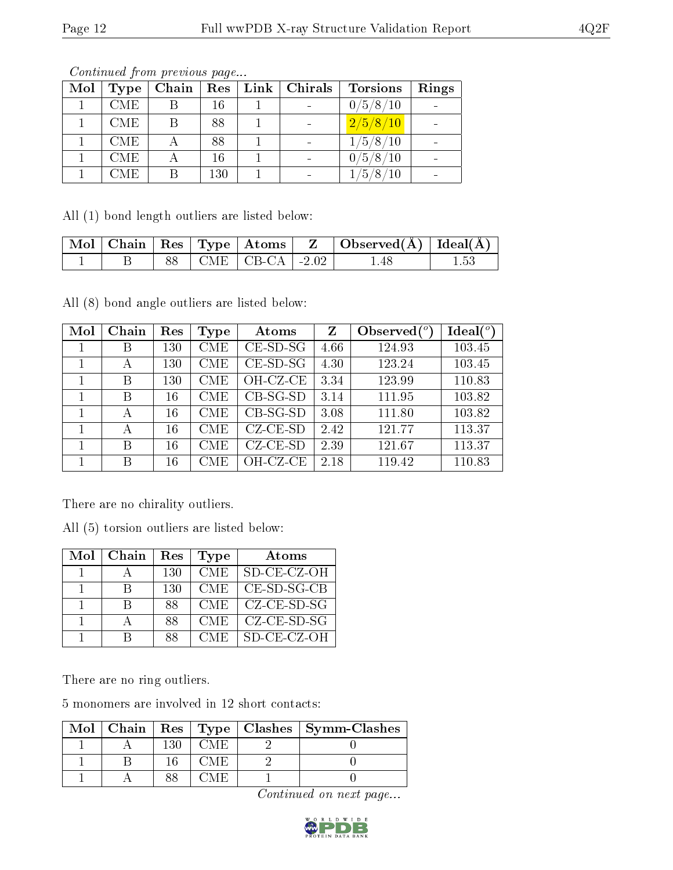| Mol | Type       | Chain | Res | Link | Chirals                  | <b>Torsions</b>    | Rings |
|-----|------------|-------|-----|------|--------------------------|--------------------|-------|
|     | <b>CME</b> |       | 16  |      |                          | 0/5/8/10           |       |
|     | <b>CME</b> |       | 88  |      | $\overline{\phantom{a}}$ | $\frac{2}{5}/8/10$ |       |
|     | <b>CME</b> |       | 88  |      |                          | 1/5/8/10           |       |
|     | <b>CME</b> |       | 16  |      | $\overline{\phantom{a}}$ | 0/5/8/10           |       |
|     | CME.       |       | 130 |      |                          | $\sqrt{5/8/10}$    |       |

All (1) bond length outliers are listed below:

|  |  |                          | $\mid$ Mol $\mid$ Chain $\mid$ Res $\mid$ Type $\mid$ Atoms $\mid$ Z $\mid$ Observed(A) $\mid$ Ideal(A) $\mid$ |  |
|--|--|--------------------------|----------------------------------------------------------------------------------------------------------------|--|
|  |  | 88   CME   CB-CA   -2.02 | 1.48                                                                                                           |  |

All (8) bond angle outliers are listed below:

| Mol | Chain | Res | Type       | Atoms              | Z    | Observed $\binom{o}{c}$ | Ideal $(^\circ)$ |
|-----|-------|-----|------------|--------------------|------|-------------------------|------------------|
|     | В     | 130 | <b>CME</b> | $CE$ -SD-SG        | 4.66 | 124.93                  | 103.45           |
|     | А     | 130 | <b>CME</b> | $CE$ -SD-SG        | 4.30 | 123.24                  | 103.45           |
|     | В     | 130 | <b>CME</b> | OH-CZ-CE           | 3.34 | 123.99                  | 110.83           |
|     | В     | 16  | <b>CME</b> | $CB-SG-SD$         | 3.14 | 111.95                  | 103.82           |
|     |       | 16  | <b>CME</b> | $CB-SG-SD$         | 3.08 | 111.80                  | 103.82           |
|     |       | 16  | <b>CME</b> | $CZ$ - $CE$ - $SD$ | 2.42 | 121.77                  | 113.37           |
|     | В     | 16  | <b>CME</b> | $CZ$ - $CE$ - $SD$ | 2.39 | 121.67                  | 113.37           |
|     | B     | 16  | CME        | OH-CZ-CE           | 2.18 | 119.42                  | 110.83           |

There are no chirality outliers.

All (5) torsion outliers are listed below:

| Mol | Chain        | Res | Type       | Atoms                     |
|-----|--------------|-----|------------|---------------------------|
|     |              | 130 | CME.       | SD-CE-CZ-OH               |
|     | R            | 130 | <b>CME</b> | $CE$ -SD-SG-CB            |
|     | $\mathsf{R}$ | 88  | <b>CME</b> | $CZ$ - $CE$ - $SD$ - $SG$ |
|     |              | 88  | <b>CME</b> | $CZ$ - $CE$ - $SD$ - $SG$ |
|     |              | 88  | <b>CME</b> | $SD$ -CE-CZ-OH            |

There are no ring outliers.

5 monomers are involved in 12 short contacts:

|  |     |  | $\text{Mol}$   Chain   Res   Type   Clashes   Symm-Clashes |
|--|-----|--|------------------------------------------------------------|
|  | 130 |  |                                                            |
|  |     |  |                                                            |
|  |     |  |                                                            |

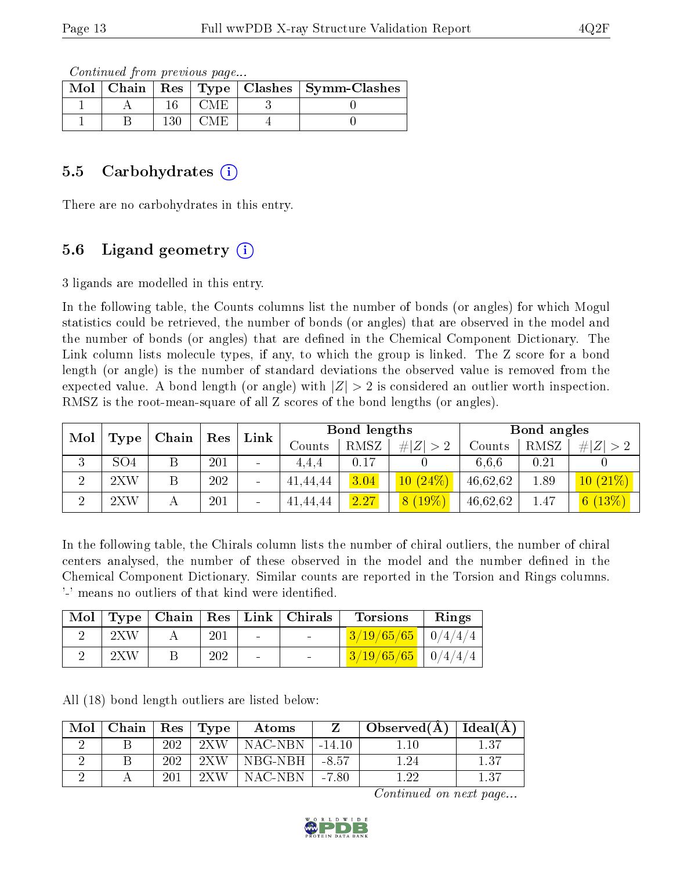Continued from previous page...

|  |  | Mol   Chain   Res   Type   Clashes   Symm-Clashes |
|--|--|---------------------------------------------------|
|  |  |                                                   |
|  |  |                                                   |

#### 5.5 Carbohydrates  $(i)$

There are no carbohydrates in this entry.

### 5.6 Ligand geometry  $(i)$

3 ligands are modelled in this entry.

In the following table, the Counts columns list the number of bonds (or angles) for which Mogul statistics could be retrieved, the number of bonds (or angles) that are observed in the model and the number of bonds (or angles) that are defined in the Chemical Component Dictionary. The Link column lists molecule types, if any, to which the group is linked. The Z score for a bond length (or angle) is the number of standard deviations the observed value is removed from the expected value. A bond length (or angle) with  $|Z| > 2$  is considered an outlier worth inspection. RMSZ is the root-mean-square of all Z scores of the bond lengths (or angles).

| Mol<br>Type | Chain           | Res | Link |                              | Bond lengths |      | Bond angles |          |      |             |
|-------------|-----------------|-----|------|------------------------------|--------------|------|-------------|----------|------|-------------|
|             |                 |     |      |                              | Counts       | RMSZ | # $ Z  > 2$ | Counts   | RMSZ | # $ Z  > 2$ |
| ച<br>۰.)    | SO <sub>4</sub> | Β   | 201  | $\blacksquare$               | 4.4.4        | 0.17 |             | 6.6.6    | 0.21 |             |
| ച           | 2XW             | Β   | 202  | $\overline{\phantom{a}}$     | 41,44,44     | 3.04 | 10(24%)     | 46,62,62 | 1.89 | $10(21\%)$  |
| $\Omega$    | 2XW             |     | 201  | $\qquad \qquad \blacksquare$ | 41,44,44     | 2.27 | $8(19\%)$   | 46,62,62 | 1.47 | (13%)<br> 6 |

In the following table, the Chirals column lists the number of chiral outliers, the number of chiral centers analysed, the number of these observed in the model and the number defined in the Chemical Component Dictionary. Similar counts are reported in the Torsion and Rings columns. '-' means no outliers of that kind were identified.

|                           |     |        | Mol   Type   Chain   Res   Link   Chirals | <b>Torsions</b>        | Rings |
|---------------------------|-----|--------|-------------------------------------------|------------------------|-------|
| $2{\rm XW}$               | 201 | $\sim$ |                                           | $3/19/65/65$   0/4/4/4 |       |
| $2 \mathrm{X} \mathrm{W}$ | 202 | $\sim$ |                                           | $3/19/65/65$ 0/4/4/4   |       |

All (18) bond length outliers are listed below:

| Mol | Chain   $\operatorname{Res}$ |     | $\vert$ Type              | Atoms     |          | $_+$ Observed(Å) $^+$ | Ideal $(A)$ |
|-----|------------------------------|-----|---------------------------|-----------|----------|-----------------------|-------------|
|     |                              | 202 | $2 \mathrm{X} \mathrm{W}$ | ' NAC-NBN | $-14.10$ | $+10$                 | 1.37        |
|     |                              | 202 | 2XW                       | NBG-NBH   | -8.57    | l.24                  | 1.37        |
|     |                              | 201 | 2XW                       | NAC-NBN . | $-7.80$  | ാറ                    | 1.37        |

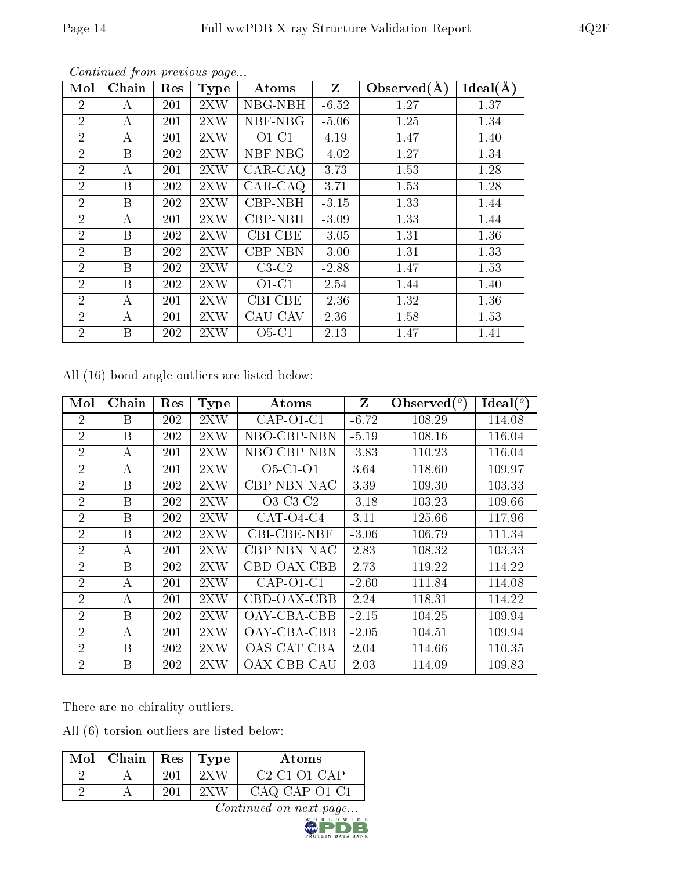| Mol            | Chain            | Res | <b>Type</b> | Atoms   | Z       | Observed $(\AA)$ | Ideal(A) |
|----------------|------------------|-----|-------------|---------|---------|------------------|----------|
| $\overline{2}$ | А                | 201 | 2XW         | NBG-NBH | $-6.52$ | 1.27             | 1.37     |
| $\overline{2}$ | А                | 201 | 2XW         | NBF-NBG | $-5.06$ | 1.25             | 1.34     |
| $\overline{2}$ | A                | 201 | 2XW         | $O1-C1$ | 4.19    | 1.47             | 1.40     |
| $\overline{2}$ | B                | 202 | 2XW         | NBF-NBG | $-4.02$ | 1.27             | 1.34     |
| $\overline{2}$ | А                | 201 | 2XW         | CAR-CAQ | 3.73    | 1.53             | 1.28     |
| $\overline{2}$ | B                | 202 | 2XW         | CAR-CAQ | 3.71    | 1.53             | 1.28     |
| $\overline{2}$ | B                | 202 | 2XW         | CBP-NBH | $-3.15$ | 1.33             | 1.44     |
| $\overline{2}$ | А                | 201 | 2XW         | CBP-NBH | $-3.09$ | 1.33             | 1.44     |
| $\overline{2}$ | B                | 202 | 2XW         | CBI-CBE | $-3.05$ | 1.31             | 1.36     |
| $\overline{2}$ | B                | 202 | 2XW         | CBP-NBN | $-3.00$ | 1.31             | 1.33     |
| $\overline{2}$ | B                | 202 | 2XW         | $C3-C2$ | $-2.88$ | 1.47             | 1.53     |
| $\overline{2}$ | B                | 202 | 2XW         | $O1-C1$ | 2.54    | 1.44             | 1.40     |
| $\overline{2}$ | А                | 201 | 2XW         | CBI-CBE | $-2.36$ | 1.32             | 1.36     |
| $\overline{2}$ | $\boldsymbol{A}$ | 201 | 2XW         | CAU-CAV | 2.36    | 1.58             | 1.53     |
| $\overline{2}$ | Β                | 202 | 2XW         | $O5-C1$ | 2.13    | 1.47             | 1.41     |

All (16) bond angle outliers are listed below:

| Mol            | Chain | Res | <b>Type</b>       | Atoms       | $Z_{\parallel}$ | Observed $(°)$ | Ideal $(^\circ)$ |
|----------------|-------|-----|-------------------|-------------|-----------------|----------------|------------------|
| $\overline{2}$ | В     | 202 | 2XW               | $CAP-O1-C1$ | $-6.72$         | 108.29         | 114.08           |
| $\overline{2}$ | B     | 202 | 2XW               | NBO-CBP-NBN | $-5.19$         | 108.16         | 116.04           |
| $\overline{2}$ | А     | 201 | 2XW               | NBO-CBP-NBN | $-3.83$         | 110.23         | 116.04           |
| $\overline{2}$ | А     | 201 | 2XW               | $O5-C1-O1$  | 3.64            | 118.60         | 109.97           |
| $\overline{2}$ | B     | 202 | 2XW               | CBP-NBN-NAC | 3.39            | 109.30         | 103.33           |
| $\overline{2}$ | B     | 202 | 2XW               | $O3-C3-C2$  | $-3.18$         | 103.23         | 109.66           |
| $\overline{2}$ | B     | 202 | 2XW               | $CAT-04-C4$ | 3.11            | 125.66         | 117.96           |
| $\overline{2}$ | B     | 202 | 2XW               | CBI-CBE-NBF | $-3.06$         | 106.79         | 111.34           |
| $\overline{2}$ | А     | 201 | 2XW               | CBP-NBN-NAC | 2.83            | 108.32         | 103.33           |
| $\overline{2}$ | B     | 202 | 2XW               | CBD-OAX-CBB | 2.73            | 119.22         | 114.22           |
| $\overline{2}$ | А     | 201 | $2{\rm X}{\rm W}$ | $CAP-O1-C1$ | $-2.60$         | 111.84         | 114.08           |
| $\overline{2}$ | А     | 201 | 2XW               | CBD-OAX-CBB | 2.24            | 118.31         | 114.22           |
| $\overline{2}$ | B     | 202 | 2XW               | OAY-CBA-CBB | $-2.15$         | 104.25         | 109.94           |
| $\overline{2}$ | А     | 201 | 2XW               | OAY-CBA-CBB | $-2.05$         | 104.51         | 109.94           |
| $\overline{2}$ | B     | 202 | 2XW               | OAS-CAT-CBA | 2.04            | 114.66         | 110.35           |
| $\overline{2}$ | B     | 202 | $2{\rm XW}$       | OAX-CBB-CAU | 2.03            | 114.09         | 109.83           |

There are no chirality outliers.

All (6) torsion outliers are listed below:

| $Mol$   Chain   Res   Type |     |      | Atoms           |
|----------------------------|-----|------|-----------------|
|                            | 201 | 2X W | $C2-C1-O1-CAP$  |
|                            | 201 | 2XW  | $CAO-CAP-O1-C1$ |

Continued on next page...

N DATA BANK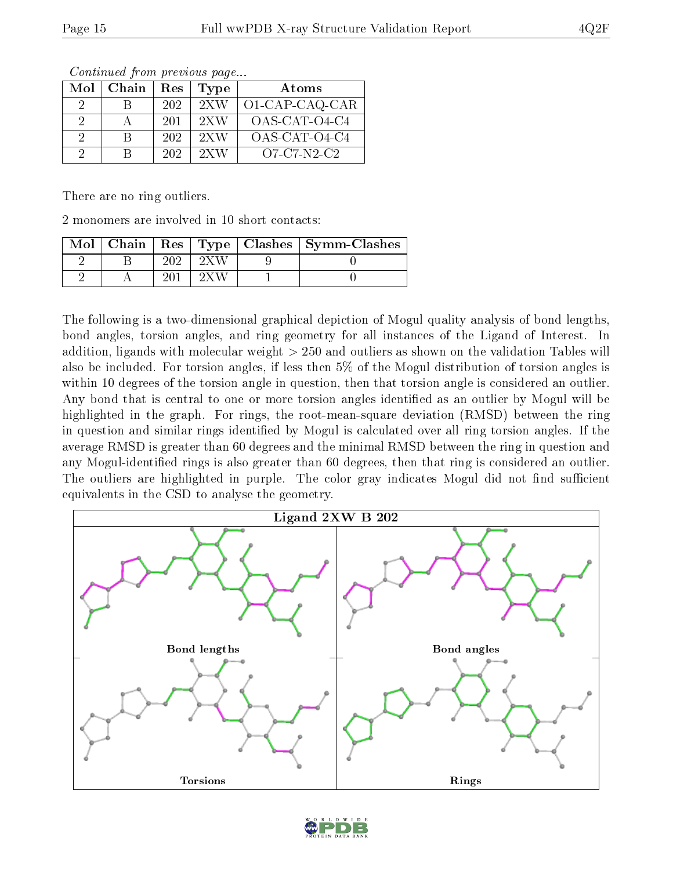| Mol | Chain | Res | Type                      | Atoms          |
|-----|-------|-----|---------------------------|----------------|
| 9   |       | 202 | 2XW                       | O1-CAP-CAQ-CAR |
| 2   |       | 201 | $2 \mathrm{X} \mathrm{W}$ | OAS-CAT-O4-C4  |
| 2   | R     | 202 | 2XW                       | OAS-CAT-O4-C4  |
| റ   | R     | 202 | 2XW                       | $O7-C7-N2-C2$  |

There are no ring outliers.

2 monomers are involved in 10 short contacts:

|  |  | Mol   Chain   Res   Type   Clashes   Symm-Clashes |
|--|--|---------------------------------------------------|
|  |  |                                                   |
|  |  |                                                   |

The following is a two-dimensional graphical depiction of Mogul quality analysis of bond lengths, bond angles, torsion angles, and ring geometry for all instances of the Ligand of Interest. In addition, ligands with molecular weight > 250 and outliers as shown on the validation Tables will also be included. For torsion angles, if less then 5% of the Mogul distribution of torsion angles is within 10 degrees of the torsion angle in question, then that torsion angle is considered an outlier. Any bond that is central to one or more torsion angles identified as an outlier by Mogul will be highlighted in the graph. For rings, the root-mean-square deviation (RMSD) between the ring in question and similar rings identified by Mogul is calculated over all ring torsion angles. If the average RMSD is greater than 60 degrees and the minimal RMSD between the ring in question and any Mogul-identified rings is also greater than 60 degrees, then that ring is considered an outlier. The outliers are highlighted in purple. The color gray indicates Mogul did not find sufficient equivalents in the CSD to analyse the geometry.



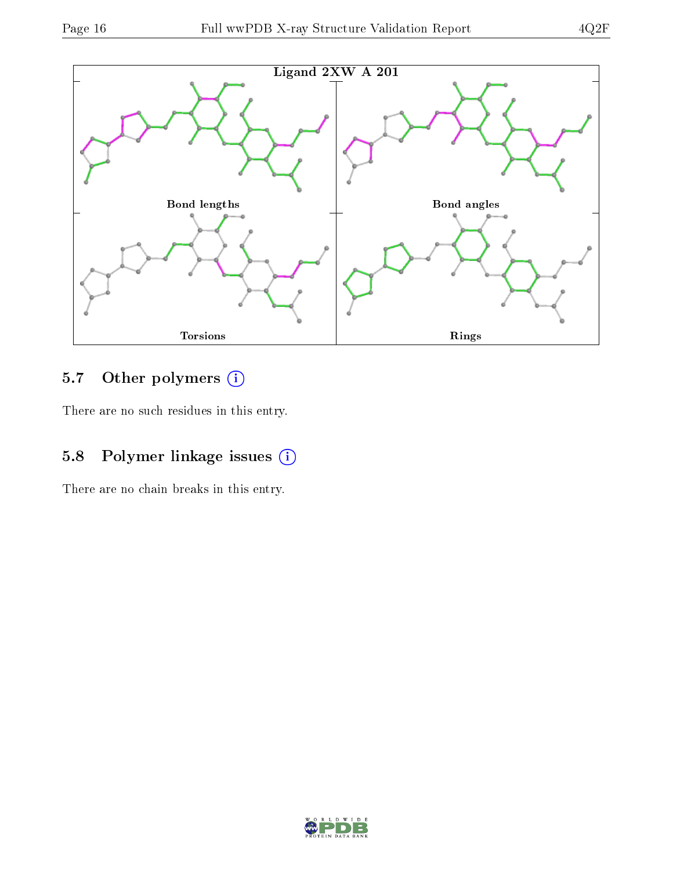

## 5.7 [O](https://www.wwpdb.org/validation/2017/XrayValidationReportHelp#nonstandard_residues_and_ligands)ther polymers (i)

There are no such residues in this entry.

## 5.8 Polymer linkage issues (i)

There are no chain breaks in this entry.

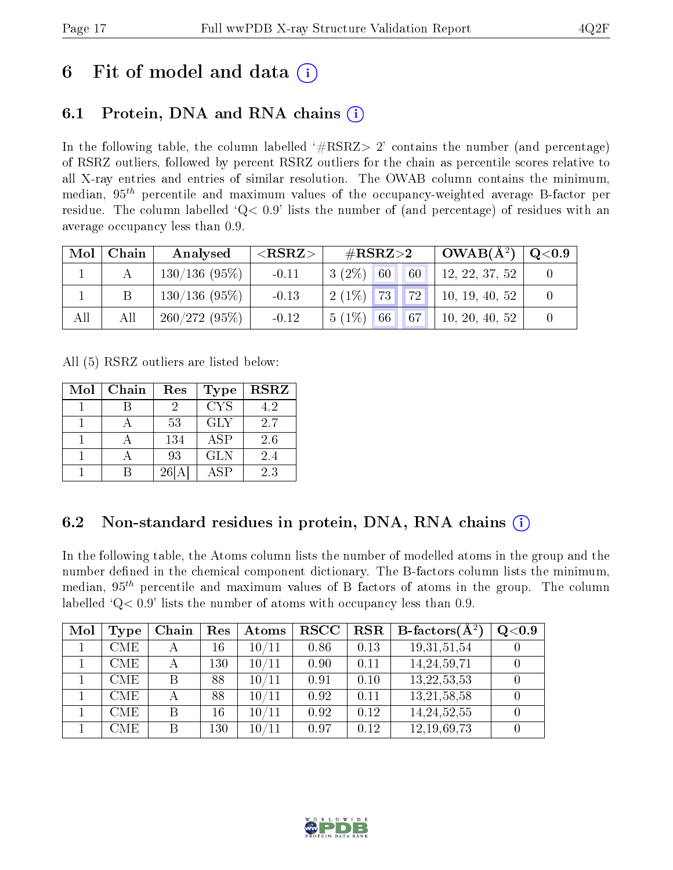## 6 Fit of model and data  $\left( \cdot \right)$

## 6.1 Protein, DNA and RNA chains (i)

In the following table, the column labelled  $#RSRZ>2'$  contains the number (and percentage) of RSRZ outliers, followed by percent RSRZ outliers for the chain as percentile scores relative to all X-ray entries and entries of similar resolution. The OWAB column contains the minimum, median,  $95<sup>th</sup>$  percentile and maximum values of the occupancy-weighted average B-factor per residue. The column labelled  $Q< 0.9$  lists the number of (and percentage) of residues with an average occupancy less than 0.9.

| Mol | Chain | Analysed        | ${ <\hspace{-1.5pt}{\mathrm{RSRZ}} \hspace{-1.5pt}>}$ | $\#\text{RSRZ}\text{>2}$      | $OWAB(A^2)$    | $\rm Q\textcolor{black}{<}0.9$ |
|-----|-------|-----------------|-------------------------------------------------------|-------------------------------|----------------|--------------------------------|
|     |       | $130/136(95\%)$ | $-0.11$                                               | $3(2\%)$ 60<br>60             | 12, 22, 37, 52 |                                |
|     |       | $130/136(95\%)$ | $-0.13$                                               | $\mid$ 2 (1%) $\mid$ 73       | 10, 19, 40, 52 |                                |
| All | All   | 260/272(95%)    | $-0.12$                                               | $5(1\%)$ 66 67 10, 20, 40, 52 |                |                                |

All (5) RSRZ outliers are listed below:

| Mol | Chain | Res | <b>Type</b> | <b>RSRZ</b> |
|-----|-------|-----|-------------|-------------|
|     |       |     | <b>CYS</b>  | 4.2         |
|     |       | 53  | <b>GLY</b>  | 2.7         |
|     |       | 134 | <b>ASP</b>  | 2.6         |
|     |       | 93  | <b>GLN</b>  | 2.4         |
|     |       | 261 | ASP         | 2.3         |

### 6.2 Non-standard residues in protein, DNA, RNA chains  $(i)$

In the following table, the Atoms column lists the number of modelled atoms in the group and the number defined in the chemical component dictionary. The B-factors column lists the minimum, median,  $95<sup>th</sup>$  percentile and maximum values of B factors of atoms in the group. The column labelled  $Q < 0.9$ ' lists the number of atoms with occupancy less than 0.9.

| Mol | <b>Type</b> | Chain | Res | Atoms       | <b>RSCC</b> | <b>RSR</b> | <b>B</b> -factors( $\overline{A^2}$ ) | Q <sub>0.9</sub> |
|-----|-------------|-------|-----|-------------|-------------|------------|---------------------------------------|------------------|
|     | <b>CME</b>  |       | 16  | 10/11       | 0.86        | 0.13       | 19, 31, 51, 54                        |                  |
|     | <b>CME</b>  |       | 130 | 10/11       | 0.90        | 0.11       | 14, 24, 59, 71                        |                  |
|     | <b>CME</b>  |       | 88  | 10/11       | 0.91        | 0.10       | 13, 22, 53, 53                        |                  |
|     | <b>CME</b>  |       | 88  | 10/11       | 0.92        | 0.11       | 13, 21, 58, 58                        |                  |
|     | <b>CME</b>  | B     | 16  | 10/11       | 0.92        | 0.12       | 14,24,52,55                           |                  |
|     | CME         |       | 130 | $10\, / 11$ | 0.97        | 0.12       | 12, 19, 69, 73                        |                  |

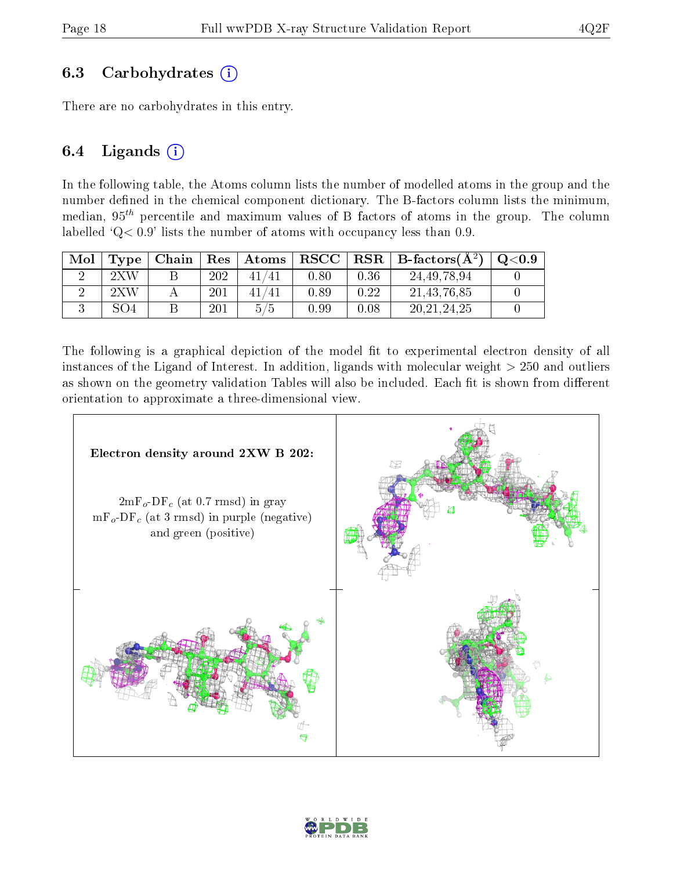### 6.3 Carbohydrates  $(i)$

There are no carbohydrates in this entry.

### 6.4 Ligands  $(i)$

In the following table, the Atoms column lists the number of modelled atoms in the group and the number defined in the chemical component dictionary. The B-factors column lists the minimum, median,  $95<sup>th</sup>$  percentile and maximum values of B factors of atoms in the group. The column labelled  $Q < 0.9$ ' lists the number of atoms with occupancy less than 0.9.

| Mol | Type                      | Chain | Res | $\mid$ Atoms | ${\bf RSCC}$ |      | $\vert$ RSR $\vert$ B-factors( $\rm \AA^2)$ ) | $_{\rm Q< 0.9}$ |
|-----|---------------------------|-------|-----|--------------|--------------|------|-----------------------------------------------|-----------------|
|     | $2 \mathrm{X} \mathrm{W}$ |       | 202 |              | $0.80\,$     | 0.36 | 24, 49, 78, 94                                |                 |
|     | $2 \mathrm{X} \mathrm{W}$ |       | 201 |              | 0.89         | 0.22 | 21, 43, 76, 85                                |                 |
|     | SO <sub>4</sub>           |       | 201 | 5/5          | 0.99         | 0.08 | 20, 21, 24, 25                                |                 |

The following is a graphical depiction of the model fit to experimental electron density of all instances of the Ligand of Interest. In addition, ligands with molecular weight  $> 250$  and outliers as shown on the geometry validation Tables will also be included. Each fit is shown from different orientation to approximate a three-dimensional view.